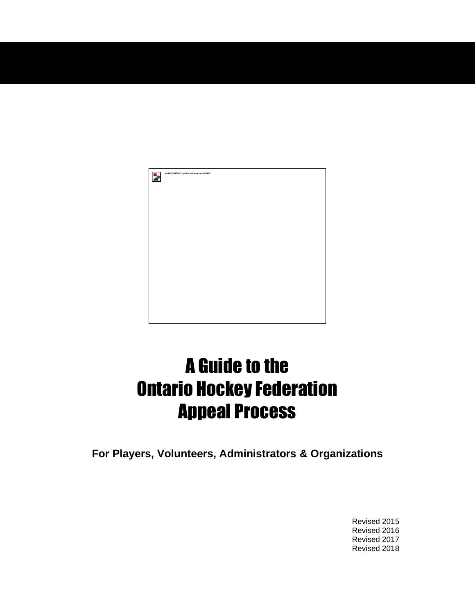

# A Guide to the Ontario Hockey Federation Appeal Process

**For Players, Volunteers, Administrators & Organizations**

Revised 2015 Revised 2016 Revised 2017 Revised 2018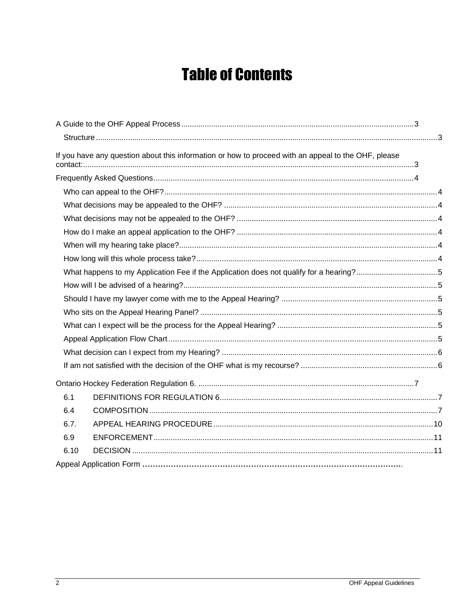## **Table of Contents**

| If you have any question about this information or how to proceed with an appeal to the OHF, please |  |
|-----------------------------------------------------------------------------------------------------|--|
|                                                                                                     |  |
|                                                                                                     |  |
|                                                                                                     |  |
|                                                                                                     |  |
|                                                                                                     |  |
|                                                                                                     |  |
|                                                                                                     |  |
|                                                                                                     |  |
|                                                                                                     |  |
|                                                                                                     |  |
|                                                                                                     |  |
|                                                                                                     |  |
|                                                                                                     |  |
|                                                                                                     |  |
|                                                                                                     |  |
|                                                                                                     |  |
| 6.1                                                                                                 |  |
| 6.4                                                                                                 |  |
| 6.7.                                                                                                |  |
| 6.9                                                                                                 |  |
| 6.10                                                                                                |  |
|                                                                                                     |  |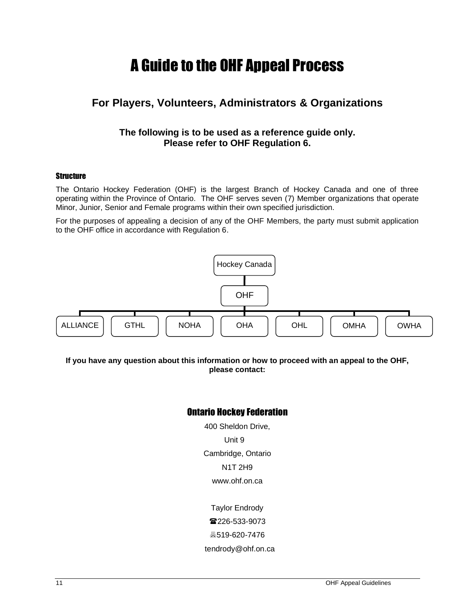### A Guide to the OHF Appeal Process

### <span id="page-2-0"></span>**For Players, Volunteers, Administrators & Organizations**

#### **The following is to be used as a reference guide only. Please refer to OHF Regulation 6.**

#### <span id="page-2-1"></span>**Structure**

The Ontario Hockey Federation (OHF) is the largest Branch of Hockey Canada and one of three operating within the Province of Ontario. The OHF serves seven (7) Member organizations that operate Minor, Junior, Senior and Female programs within their own specified jurisdiction.

For the purposes of appealing a decision of any of the OHF Members, the party must submit application to the OHF office in accordance with Regulation 6.



<span id="page-2-2"></span>**If you have any question about this information or how to proceed with an appeal to the OHF, please contact:**

#### Ontario Hockey Federation

400 Sheldon Drive, Unit 9 Cambridge, Ontario N1T 2H9 www.ohf.on.ca

Taylor Endrody ■226-533-9073 519-620-7476 tendrody@ohf.on.ca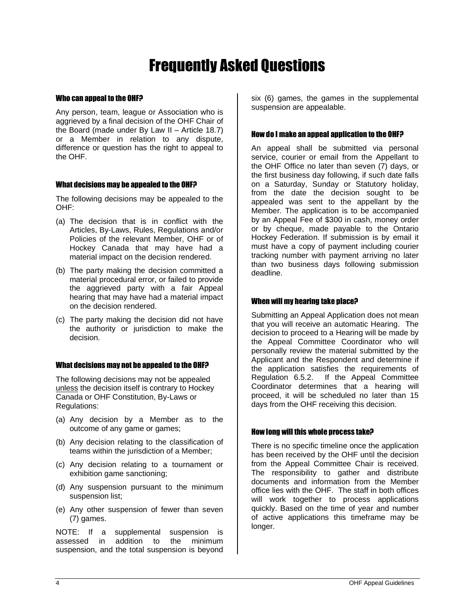## Frequently Asked Questions

#### <span id="page-3-1"></span><span id="page-3-0"></span>Who can appeal to the OHF?

Any person, team, league or Association who is aggrieved by a final decision of the OHF Chair of the Board (made under By Law II – Article 18.7) or a Member in relation to any dispute, difference or question has the right to appeal to the OHF.

#### <span id="page-3-2"></span>What decisions may be appealed to the OHF?

The following decisions may be appealed to the OHF:

- (a) The decision that is in conflict with the Articles, By-Laws, Rules, Regulations and/or Policies of the relevant Member, OHF or of Hockey Canada that may have had a material impact on the decision rendered.
- (b) The party making the decision committed a material procedural error, or failed to provide the aggrieved party with a fair Appeal hearing that may have had a material impact on the decision rendered.
- (c) The party making the decision did not have the authority or jurisdiction to make the decision.

#### <span id="page-3-3"></span>What decisions may not be appealed to the OHF?

The following decisions may not be appealed unless the decision itself is contrary to Hockey Canada or OHF Constitution, By-Laws or Regulations:

- (a) Any decision by a Member as to the outcome of any game or games;
- (b) Any decision relating to the classification of teams within the jurisdiction of a Member;
- (c) Any decision relating to a tournament or exhibition game sanctioning;
- (d) Any suspension pursuant to the minimum suspension list;
- (e) Any other suspension of fewer than seven (7) games.

NOTE: If a supplemental suspension is assessed in addition to the minimum suspension, and the total suspension is beyond six (6) games, the games in the supplemental suspension are appealable.

#### <span id="page-3-4"></span>How do I make an appeal application to the OHF?

An appeal shall be submitted via personal service, courier or email from the Appellant to the OHF Office no later than seven (7) days, or the first business day following, if such date falls on a Saturday, Sunday or Statutory holiday, from the date the decision sought to be appealed was sent to the appellant by the Member. The application is to be accompanied by an Appeal Fee of \$300 in cash, money order or by cheque, made payable to the Ontario Hockey Federation. If submission is by email it must have a copy of payment including courier tracking number with payment arriving no later than two business days following submission deadline.

#### <span id="page-3-5"></span>When will my hearing take place?

Submitting an Appeal Application does not mean that you will receive an automatic Hearing. The decision to proceed to a Hearing will be made by the Appeal Committee Coordinator who will personally review the material submitted by the Applicant and the Respondent and determine if the application satisfies the requirements of Regulation 6.5.2. If the Appeal Committee Coordinator determines that a hearing will proceed, it will be scheduled no later than 15 days from the OHF receiving this decision.

#### <span id="page-3-6"></span>How long will this whole process take?

There is no specific timeline once the application has been received by the OHF until the decision from the Appeal Committee Chair is received. The responsibility to gather and distribute documents and information from the Member office lies with the OHF. The staff in both offices will work together to process applications quickly. Based on the time of year and number of active applications this timeframe may be longer.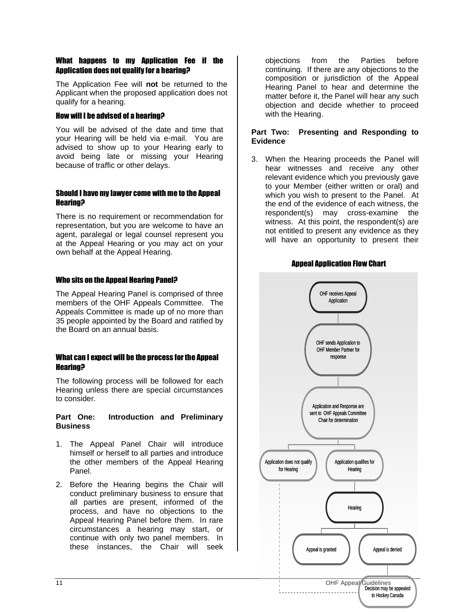#### <span id="page-4-0"></span>What happens to my Application Fee if the Application does not qualify for a hearing?

The Application Fee will **not** be returned to the Applicant when the proposed application does not qualify for a hearing.

#### <span id="page-4-1"></span>How will I be advised of a hearing?

You will be advised of the date and time that your Hearing will be held via e-mail. You are advised to show up to your Hearing early to avoid being late or missing your Hearing because of traffic or other delays.

#### <span id="page-4-2"></span>Should I have my lawyer come with me to the Appeal Hearing?

There is no requirement or recommendation for representation, but you are welcome to have an agent, paralegal or legal counsel represent you at the Appeal Hearing or you may act on your own behalf at the Appeal Hearing.

#### <span id="page-4-3"></span>Who sits on the Appeal Hearing Panel?

The Appeal Hearing Panel is comprised of three members of the OHF Appeals Committee. The Appeals Committee is made up of no more than 35 people appointed by the Board and ratified by the Board on an annual basis.

#### <span id="page-4-4"></span>What can I expect will be the process for the Appeal Hearing?

The following process will be followed for each Hearing unless there are special circumstances to consider.

#### **Part One: Introduction and Preliminary Business**

- 1. The Appeal Panel Chair will introduce himself or herself to all parties and introduce the other members of the Appeal Hearing Panel.
- 2. Before the Hearing begins the Chair will conduct preliminary business to ensure that all parties are present, informed of the process, and have no objections to the Appeal Hearing Panel before them. In rare circumstances a hearing may start, or continue with only two panel members. In these instances, the Chair will seek

objections from the Parties before continuing. If there are any objections to the composition or jurisdiction of the Appeal Hearing Panel to hear and determine the matter before it, the Panel will hear any such objection and decide whether to proceed with the Hearing.

#### **Part Two: Presenting and Responding to Evidence**

3. When the Hearing proceeds the Panel will hear witnesses and receive any other relevant evidence which you previously gave to your Member (either written or oral) and which you wish to present to the Panel. At the end of the evidence of each witness, the respondent(s) may cross-examine the witness. At this point, the respondent(s) are not entitled to present any evidence as they will have an opportunity to present their



#### Appeal Application Flow Chart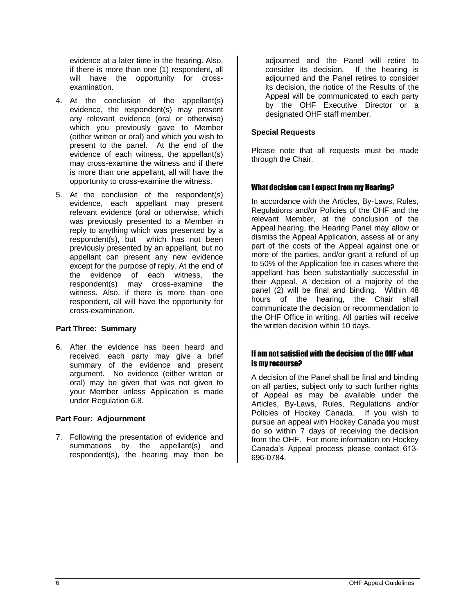evidence at a later time in the hearing. Also, if there is more than one (1) respondent, all will have the opportunity for crossexamination.

- 4. At the conclusion of the appellant(s) evidence, the respondent(s) may present any relevant evidence (oral or otherwise) which you previously gave to Member (either written or oral) and which you wish to present to the panel. At the end of the evidence of each witness, the appellant(s) may cross-examine the witness and if there is more than one appellant, all will have the opportunity to cross-examine the witness.
- 5. At the conclusion of the respondent(s) evidence, each appellant may present relevant evidence (oral or otherwise, which was previously presented to a Member in reply to anything which was presented by a respondent(s), but which has not been previously presented by an appellant, but no appellant can present any new evidence except for the purpose of reply. At the end of the evidence of each witness, the respondent(s) may cross-examine the witness. Also, if there is more than one respondent, all will have the opportunity for cross-examination.

#### **Part Three: Summary**

6. After the evidence has been heard and received, each party may give a brief summary of the evidence and present argument. No evidence (either written or oral) may be given that was not given to your Member unless Application is made under Regulation 6.8.

#### **Part Four: Adjournment**

7. Following the presentation of evidence and summations by the appellant(s) and respondent(s), the hearing may then be

adjourned and the Panel will retire to consider its decision. If the hearing is adjourned and the Panel retires to consider its decision, the notice of the Results of the Appeal will be communicated to each party by the OHF Executive Director or a designated OHF staff member.

#### **Special Requests**

Please note that all requests must be made through the Chair.

#### <span id="page-5-0"></span>What decision can I expect from my Hearing?

In accordance with the Articles, By-Laws, Rules, Regulations and/or Policies of the OHF and the relevant Member, at the conclusion of the Appeal hearing, the Hearing Panel may allow or dismiss the Appeal Application, assess all or any part of the costs of the Appeal against one or more of the parties, and/or grant a refund of up to 50% of the Application fee in cases where the appellant has been substantially successful in their Appeal. A decision of a majority of the panel (2) will be final and binding. Within 48 hours of the hearing, the Chair shall communicate the decision or recommendation to the OHF Office in writing. All parties will receive the written decision within 10 days.

#### <span id="page-5-1"></span>If am not satisfied with the decision of the OHF what is my recourse?

A decision of the Panel shall be final and binding on all parties, subject only to such further rights of Appeal as may be available under the Articles, By-Laws, Rules, Regulations and/or Policies of Hockey Canada. If you wish to pursue an appeal with Hockey Canada you must do so within 7 days of receiving the decision from the OHF. For more information on Hockey Canada's Appeal process please contact 613- 696-0784.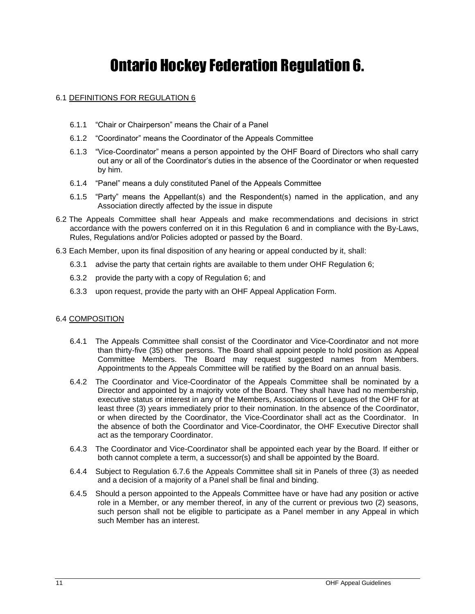### Ontario Hockey Federation Regulation 6.

#### <span id="page-6-1"></span><span id="page-6-0"></span>6.1 DEFINITIONS FOR REGULATION 6

- 6.1.1 "Chair or Chairperson" means the Chair of a Panel
- 6.1.2 "Coordinator" means the Coordinator of the Appeals Committee
- 6.1.3 "Vice-Coordinator" means a person appointed by the OHF Board of Directors who shall carry out any or all of the Coordinator's duties in the absence of the Coordinator or when requested by him.
- 6.1.4 "Panel" means a duly constituted Panel of the Appeals Committee
- 6.1.5 "Party" means the Appellant(s) and the Respondent(s) named in the application, and any Association directly affected by the issue in dispute
- 6.2 The Appeals Committee shall hear Appeals and make recommendations and decisions in strict accordance with the powers conferred on it in this Regulation 6 and in compliance with the By-Laws, Rules, Regulations and/or Policies adopted or passed by the Board.
- 6.3 Each Member, upon its final disposition of any hearing or appeal conducted by it, shall:
	- 6.3.1 advise the party that certain rights are available to them under OHF Regulation 6;
	- 6.3.2 provide the party with a copy of Regulation 6; and
	- 6.3.3 upon request, provide the party with an OHF Appeal Application Form.

#### <span id="page-6-2"></span>6.4 COMPOSITION

- 6.4.1 The Appeals Committee shall consist of the Coordinator and Vice-Coordinator and not more than thirty-five (35) other persons. The Board shall appoint people to hold position as Appeal Committee Members. The Board may request suggested names from Members. Appointments to the Appeals Committee will be ratified by the Board on an annual basis.
- 6.4.2 The Coordinator and Vice-Coordinator of the Appeals Committee shall be nominated by a Director and appointed by a majority vote of the Board. They shall have had no membership, executive status or interest in any of the Members, Associations or Leagues of the OHF for at least three (3) years immediately prior to their nomination. In the absence of the Coordinator, or when directed by the Coordinator, the Vice-Coordinator shall act as the Coordinator. In the absence of both the Coordinator and Vice-Coordinator, the OHF Executive Director shall act as the temporary Coordinator.
- 6.4.3 The Coordinator and Vice-Coordinator shall be appointed each year by the Board. If either or both cannot complete a term, a successor(s) and shall be appointed by the Board.
- 6.4.4 Subject to Regulation 6.7.6 the Appeals Committee shall sit in Panels of three (3) as needed and a decision of a majority of a Panel shall be final and binding.
- 6.4.5 Should a person appointed to the Appeals Committee have or have had any position or active role in a Member, or any member thereof, in any of the current or previous two (2) seasons, such person shall not be eligible to participate as a Panel member in any Appeal in which such Member has an interest.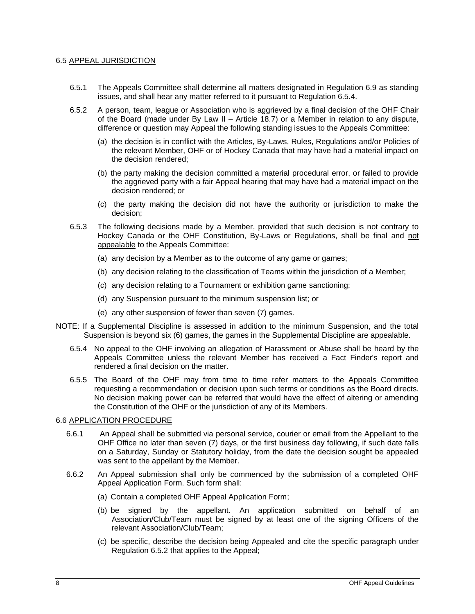#### 6.5 APPEAL JURISDICTION

- 6.5.1 The Appeals Committee shall determine all matters designated in Regulation 6.9 as standing issues, and shall hear any matter referred to it pursuant to Regulation 6.5.4.
- 6.5.2 A person, team, league or Association who is aggrieved by a final decision of the OHF Chair of the Board (made under By Law II – Article 18.7) or a Member in relation to any dispute, difference or question may Appeal the following standing issues to the Appeals Committee:
	- (a) the decision is in conflict with the Articles, By-Laws, Rules, Regulations and/or Policies of the relevant Member, OHF or of Hockey Canada that may have had a material impact on the decision rendered;
	- (b) the party making the decision committed a material procedural error, or failed to provide the aggrieved party with a fair Appeal hearing that may have had a material impact on the decision rendered; or
	- (c) the party making the decision did not have the authority or jurisdiction to make the decision;
- 6.5.3 The following decisions made by a Member, provided that such decision is not contrary to Hockey Canada or the OHF Constitution, By-Laws or Regulations, shall be final and not appealable to the Appeals Committee:
	- (a) any decision by a Member as to the outcome of any game or games;
	- (b) any decision relating to the classification of Teams within the jurisdiction of a Member;
	- (c) any decision relating to a Tournament or exhibition game sanctioning;
	- (d) any Suspension pursuant to the minimum suspension list; or
	- (e) any other suspension of fewer than seven (7) games.
- NOTE: If a Supplemental Discipline is assessed in addition to the minimum Suspension, and the total Suspension is beyond six (6) games, the games in the Supplemental Discipline are appealable.
	- 6.5.4 No appeal to the OHF involving an allegation of Harassment or Abuse shall be heard by the Appeals Committee unless the relevant Member has received a Fact Finder's report and rendered a final decision on the matter.
	- 6.5.5 The Board of the OHF may from time to time refer matters to the Appeals Committee requesting a recommendation or decision upon such terms or conditions as the Board directs. No decision making power can be referred that would have the effect of altering or amending the Constitution of the OHF or the jurisdiction of any of its Members.

#### 6.6 APPLICATION PROCEDURE

- 6.6.1 An Appeal shall be submitted via personal service, courier or email from the Appellant to the OHF Office no later than seven (7) days, or the first business day following, if such date falls on a Saturday, Sunday or Statutory holiday, from the date the decision sought be appealed was sent to the appellant by the Member.
- 6.6.2 An Appeal submission shall only be commenced by the submission of a completed OHF Appeal Application Form. Such form shall:
	- (a) Contain a completed OHF Appeal Application Form;
	- (b) be signed by the appellant. An application submitted on behalf of an Association/Club/Team must be signed by at least one of the signing Officers of the relevant Association/Club/Team;
	- (c) be specific, describe the decision being Appealed and cite the specific paragraph under Regulation 6.5.2 that applies to the Appeal;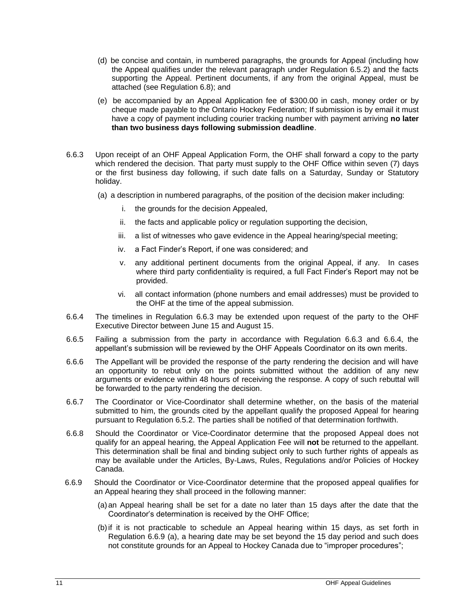- (d) be concise and contain, in numbered paragraphs, the grounds for Appeal (including how the Appeal qualifies under the relevant paragraph under Regulation 6.5.2) and the facts supporting the Appeal. Pertinent documents, if any from the original Appeal, must be attached (see Regulation 6.8); and
- (e) be accompanied by an Appeal Application fee of \$300.00 in cash, money order or by cheque made payable to the Ontario Hockey Federation; If submission is by email it must have a copy of payment including courier tracking number with payment arriving **no later than two business days following submission deadline**.
- 6.6.3 Upon receipt of an OHF Appeal Application Form, the OHF shall forward a copy to the party which rendered the decision. That party must supply to the OHF Office within seven (7) days or the first business day following, if such date falls on a Saturday, Sunday or Statutory holiday.
	- (a) a description in numbered paragraphs, of the position of the decision maker including:
		- i. the grounds for the decision Appealed,
		- ii. the facts and applicable policy or regulation supporting the decision,
		- iii. a list of witnesses who gave evidence in the Appeal hearing/special meeting;
		- iv. a Fact Finder's Report, if one was considered; and
		- v. any additional pertinent documents from the original Appeal, if any. In cases where third party confidentiality is required, a full Fact Finder's Report may not be provided.
		- vi. all contact information (phone numbers and email addresses) must be provided to the OHF at the time of the appeal submission.
- 6.6.4 The timelines in Regulation 6.6.3 may be extended upon request of the party to the OHF Executive Director between June 15 and August 15.
- 6.6.5 Failing a submission from the party in accordance with Regulation 6.6.3 and 6.6.4, the appellant's submission will be reviewed by the OHF Appeals Coordinator on its own merits.
- 6.6.6 The Appellant will be provided the response of the party rendering the decision and will have an opportunity to rebut only on the points submitted without the addition of any new arguments or evidence within 48 hours of receiving the response. A copy of such rebuttal will be forwarded to the party rendering the decision.
- 6.6.7 The Coordinator or Vice-Coordinator shall determine whether, on the basis of the material submitted to him, the grounds cited by the appellant qualify the proposed Appeal for hearing pursuant to Regulation 6.5.2. The parties shall be notified of that determination forthwith.
- 6.6.8 Should the Coordinator or Vice-Coordinator determine that the proposed Appeal does not qualify for an appeal hearing, the Appeal Application Fee will **not** be returned to the appellant. This determination shall be final and binding subject only to such further rights of appeals as may be available under the Articles, By-Laws, Rules, Regulations and/or Policies of Hockey Canada.
- 6.6.9 Should the Coordinator or Vice-Coordinator determine that the proposed appeal qualifies for an Appeal hearing they shall proceed in the following manner:
	- (a)an Appeal hearing shall be set for a date no later than 15 days after the date that the Coordinator's determination is received by the OHF Office;
	- (b)if it is not practicable to schedule an Appeal hearing within 15 days, as set forth in Regulation 6.6.9 (a), a hearing date may be set beyond the 15 day period and such does not constitute grounds for an Appeal to Hockey Canada due to "improper procedures";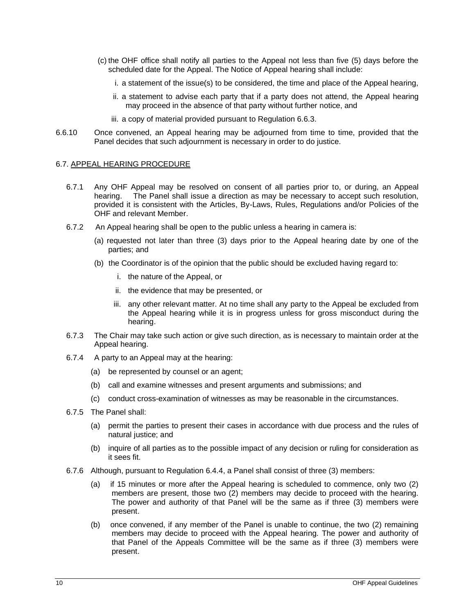- (c) the OHF office shall notify all parties to the Appeal not less than five (5) days before the scheduled date for the Appeal. The Notice of Appeal hearing shall include:
	- i. a statement of the issue(s) to be considered, the time and place of the Appeal hearing,
	- ii. a statement to advise each party that if a party does not attend, the Appeal hearing may proceed in the absence of that party without further notice, and
	- iii. a copy of material provided pursuant to Regulation 6.6.3.
- 6.6.10 Once convened, an Appeal hearing may be adjourned from time to time, provided that the Panel decides that such adjournment is necessary in order to do justice.

#### <span id="page-9-0"></span>6.7. APPEAL HEARING PROCEDURE

- 6.7.1 Any OHF Appeal may be resolved on consent of all parties prior to, or during, an Appeal hearing. The Panel shall issue a direction as may be necessary to accept such resolution, provided it is consistent with the Articles, By-Laws, Rules, Regulations and/or Policies of the OHF and relevant Member.
- 6.7.2 An Appeal hearing shall be open to the public unless a hearing in camera is:
	- (a) requested not later than three (3) days prior to the Appeal hearing date by one of the parties; and
	- (b) the Coordinator is of the opinion that the public should be excluded having regard to:
		- i. the nature of the Appeal, or
		- ii. the evidence that may be presented, or
		- iii. any other relevant matter. At no time shall any party to the Appeal be excluded from the Appeal hearing while it is in progress unless for gross misconduct during the hearing.
- 6.7.3 The Chair may take such action or give such direction, as is necessary to maintain order at the Appeal hearing.
- 6.7.4 A party to an Appeal may at the hearing:
	- (a) be represented by counsel or an agent;
	- (b) call and examine witnesses and present arguments and submissions; and
	- (c) conduct cross-examination of witnesses as may be reasonable in the circumstances.
- 6.7.5 The Panel shall:
	- (a) permit the parties to present their cases in accordance with due process and the rules of natural justice; and
	- (b) inquire of all parties as to the possible impact of any decision or ruling for consideration as it sees fit.
- 6.7.6 Although, pursuant to Regulation 6.4.4, a Panel shall consist of three (3) members:
	- if 15 minutes or more after the Appeal hearing is scheduled to commence, only two  $(2)$ members are present, those two (2) members may decide to proceed with the hearing. The power and authority of that Panel will be the same as if three (3) members were present.
	- (b) once convened, if any member of the Panel is unable to continue, the two (2) remaining members may decide to proceed with the Appeal hearing. The power and authority of that Panel of the Appeals Committee will be the same as if three (3) members were present.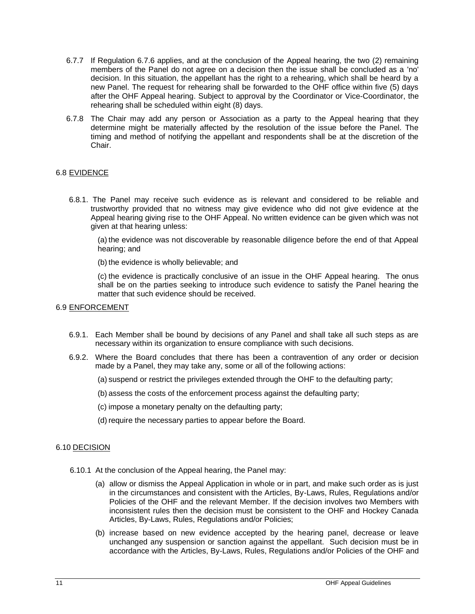- 6.7.7 If Regulation 6.7.6 applies, and at the conclusion of the Appeal hearing, the two (2) remaining members of the Panel do not agree on a decision then the issue shall be concluded as a 'no' decision. In this situation, the appellant has the right to a rehearing, which shall be heard by a new Panel. The request for rehearing shall be forwarded to the OHF office within five (5) days after the OHF Appeal hearing. Subject to approval by the Coordinator or Vice-Coordinator, the rehearing shall be scheduled within eight (8) days.
- 6.7.8 The Chair may add any person or Association as a party to the Appeal hearing that they determine might be materially affected by the resolution of the issue before the Panel. The timing and method of notifying the appellant and respondents shall be at the discretion of the Chair.

#### 6.8 EVIDENCE

6.8.1. The Panel may receive such evidence as is relevant and considered to be reliable and trustworthy provided that no witness may give evidence who did not give evidence at the Appeal hearing giving rise to the OHF Appeal. No written evidence can be given which was not given at that hearing unless:

(a) the evidence was not discoverable by reasonable diligence before the end of that Appeal hearing; and

(b) the evidence is wholly believable; and

(c) the evidence is practically conclusive of an issue in the OHF Appeal hearing. The onus shall be on the parties seeking to introduce such evidence to satisfy the Panel hearing the matter that such evidence should be received.

#### <span id="page-10-0"></span>6.9 ENFORCEMENT

- 6.9.1. Each Member shall be bound by decisions of any Panel and shall take all such steps as are necessary within its organization to ensure compliance with such decisions.
- 6.9.2. Where the Board concludes that there has been a contravention of any order or decision made by a Panel, they may take any, some or all of the following actions:
	- (a) suspend or restrict the privileges extended through the OHF to the defaulting party;
	- (b)assess the costs of the enforcement process against the defaulting party;
	- (c) impose a monetary penalty on the defaulting party;
	- (d) require the necessary parties to appear before the Board.

#### <span id="page-10-1"></span>6.10 DECISION

- 6.10.1 At the conclusion of the Appeal hearing, the Panel may:
	- (a) allow or dismiss the Appeal Application in whole or in part, and make such order as is just in the circumstances and consistent with the Articles, By-Laws, Rules, Regulations and/or Policies of the OHF and the relevant Member. If the decision involves two Members with inconsistent rules then the decision must be consistent to the OHF and Hockey Canada Articles, By-Laws, Rules, Regulations and/or Policies;
	- (b) increase based on new evidence accepted by the hearing panel, decrease or leave unchanged any suspension or sanction against the appellant. Such decision must be in accordance with the Articles, By-Laws, Rules, Regulations and/or Policies of the OHF and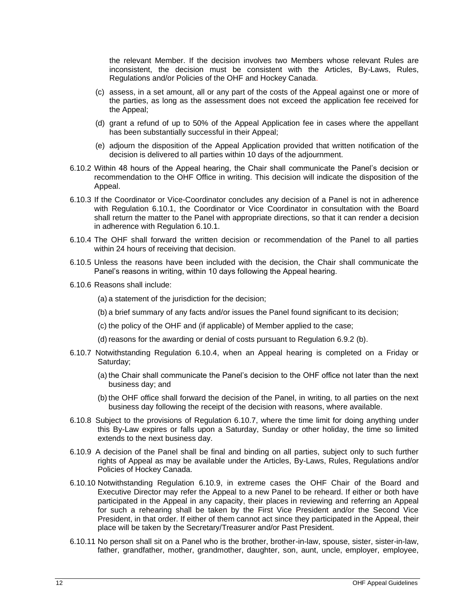the relevant Member. If the decision involves two Members whose relevant Rules are inconsistent, the decision must be consistent with the Articles, By-Laws, Rules, Regulations and/or Policies of the OHF and Hockey Canada.

- (c) assess, in a set amount, all or any part of the costs of the Appeal against one or more of the parties, as long as the assessment does not exceed the application fee received for the Appeal;
- (d) grant a refund of up to 50% of the Appeal Application fee in cases where the appellant has been substantially successful in their Appeal;
- (e) adjourn the disposition of the Appeal Application provided that written notification of the decision is delivered to all parties within 10 days of the adjournment.
- 6.10.2 Within 48 hours of the Appeal hearing, the Chair shall communicate the Panel's decision or recommendation to the OHF Office in writing. This decision will indicate the disposition of the Appeal.
- 6.10.3 If the Coordinator or Vice-Coordinator concludes any decision of a Panel is not in adherence with Regulation 6.10.1, the Coordinator or Vice Coordinator in consultation with the Board shall return the matter to the Panel with appropriate directions, so that it can render a decision in adherence with Regulation 6.10.1.
- 6.10.4 The OHF shall forward the written decision or recommendation of the Panel to all parties within 24 hours of receiving that decision.
- 6.10.5 Unless the reasons have been included with the decision, the Chair shall communicate the Panel's reasons in writing, within 10 days following the Appeal hearing.
- 6.10.6 Reasons shall include:
	- (a) a statement of the jurisdiction for the decision;
	- (b)a brief summary of any facts and/or issues the Panel found significant to its decision;
	- (c) the policy of the OHF and (if applicable) of Member applied to the case;
	- (d) reasons for the awarding or denial of costs pursuant to Regulation 6.9.2 (b).
- 6.10.7 Notwithstanding Regulation 6.10.4, when an Appeal hearing is completed on a Friday or Saturday;
	- (a) the Chair shall communicate the Panel's decision to the OHF office not later than the next business day; and
	- (b) the OHF office shall forward the decision of the Panel, in writing, to all parties on the next business day following the receipt of the decision with reasons, where available.
- 6.10.8 Subject to the provisions of Regulation 6.10.7, where the time limit for doing anything under this By-Law expires or falls upon a Saturday, Sunday or other holiday, the time so limited extends to the next business day.
- 6.10.9 A decision of the Panel shall be final and binding on all parties, subject only to such further rights of Appeal as may be available under the Articles, By-Laws, Rules, Regulations and/or Policies of Hockey Canada.
- 6.10.10 Notwithstanding Regulation 6.10.9, in extreme cases the OHF Chair of the Board and Executive Director may refer the Appeal to a new Panel to be reheard. If either or both have participated in the Appeal in any capacity, their places in reviewing and referring an Appeal for such a rehearing shall be taken by the First Vice President and/or the Second Vice President, in that order. If either of them cannot act since they participated in the Appeal, their place will be taken by the Secretary/Treasurer and/or Past President.
- 6.10.11 No person shall sit on a Panel who is the brother, brother-in-law, spouse, sister, sister-in-law, father, grandfather, mother, grandmother, daughter, son, aunt, uncle, employer, employee,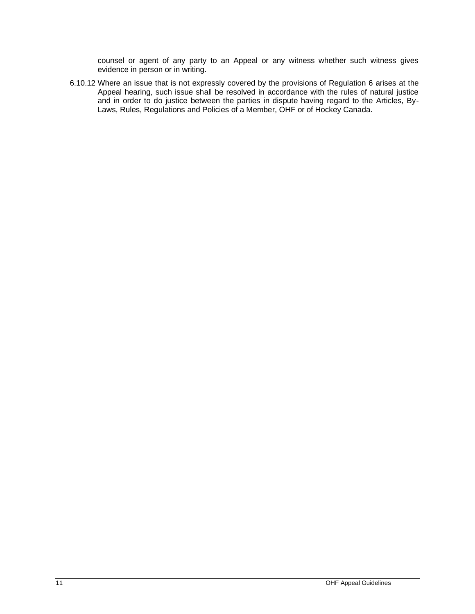counsel or agent of any party to an Appeal or any witness whether such witness gives evidence in person or in writing.

6.10.12 Where an issue that is not expressly covered by the provisions of Regulation 6 arises at the Appeal hearing, such issue shall be resolved in accordance with the rules of natural justice and in order to do justice between the parties in dispute having regard to the Articles, By-Laws, Rules, Regulations and Policies of a Member, OHF or of Hockey Canada.